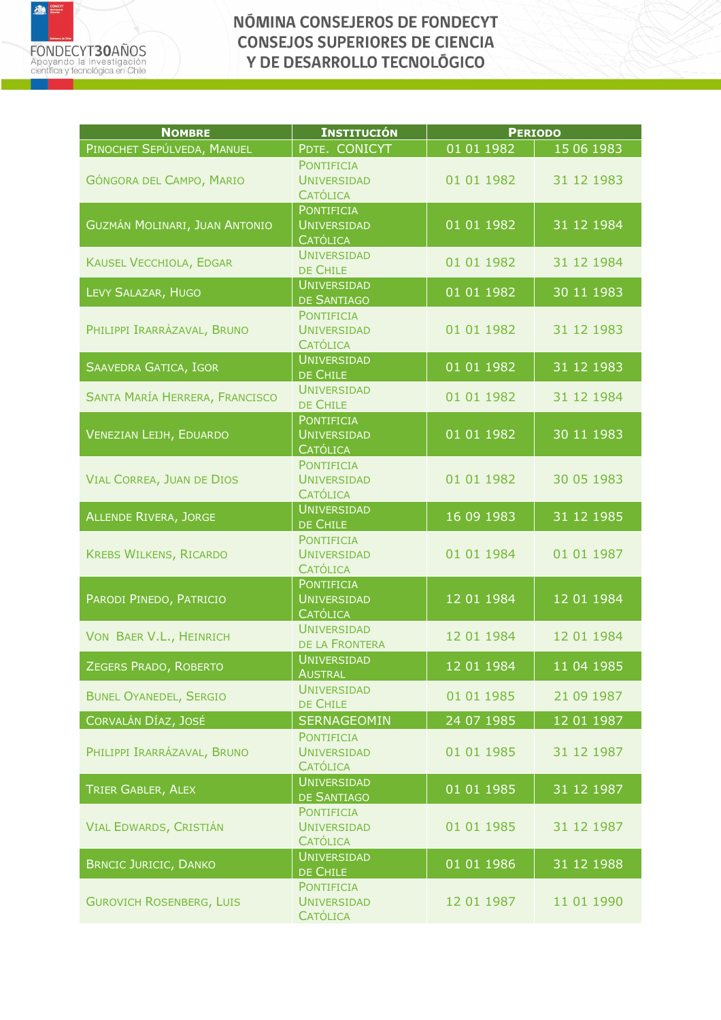

| <b>NOMBRE</b>                        | <b>INSTITUCIÓN</b>                                         | <b>PERIODO</b> |            |
|--------------------------------------|------------------------------------------------------------|----------------|------------|
| PINOCHET SEPÚLVEDA, MANUEL           | PDTE. CONICYT                                              | 01 01 1982     | 15 06 1983 |
| GÓNGORA DEL CAMPO, MARIO             | <b>PONTIFICIA</b><br><b>UNIVERSIDAD</b><br><b>CATÓLICA</b> | 01 01 1982     | 31 12 1983 |
| <b>GUZMÁN MOLINARI, JUAN ANTONIO</b> | <b>PONTIFICIA</b><br><b>UNIVERSIDAD</b><br><b>CATÓLICA</b> | 01 01 1982     | 31 12 1984 |
| <b>KAUSEL VECCHIOLA, EDGAR</b>       | <b>UNIVERSIDAD</b><br>DE CHILE                             | 01 01 1982     | 31 12 1984 |
| LEVY SALAZAR, HUGO                   | <b>UNIVERSIDAD</b><br>DE SANTIAGO                          | 01 01 1982     | 30 11 1983 |
| PHILIPPI IRARRÁZAVAL, BRUNO          | <b>PONTIFICIA</b><br><b>UNIVERSIDAD</b><br><b>CATÓLICA</b> | 01 01 1982     | 31 12 1983 |
| SAAVEDRA GATICA, IGOR                | <b>UNIVERSIDAD</b><br>DE CHILE                             | 01 01 1982     | 31 12 1983 |
| SANTA MARÍA HERRERA, FRANCISCO       | <b>UNIVERSIDAD</b><br>DE CHILE                             | 01 01 1982     | 31 12 1984 |
| <b>VENEZIAN LEIJH, EDUARDO</b>       | <b>PONTIFICIA</b><br><b>UNIVERSIDAD</b><br><b>CATÓLICA</b> | 01 01 1982     | 30 11 1983 |
| <b>VIAL CORREA, JUAN DE DIOS</b>     | <b>PONTIFICIA</b><br><b>UNIVERSIDAD</b><br><b>CATÓLICA</b> | 01 01 1982     | 30 05 1983 |
| <b>ALLENDE RIVERA, JORGE</b>         | <b>UNIVERSIDAD</b><br>DE CHILE                             | 16 09 1983     | 31 12 1985 |
| <b>KREBS WILKENS, RICARDO</b>        | <b>PONTIFICIA</b><br><b>UNIVERSIDAD</b><br><b>CATÓLICA</b> | 01 01 1984     | 01 01 1987 |
| PARODI PINEDO, PATRICIO              | <b>PONTIFICIA</b><br><b>UNIVERSIDAD</b><br><b>CATÓLICA</b> | 12 01 1984     | 12 01 1984 |
| VON BAER V.L., HEINRICH              | <b>UNIVERSIDAD</b><br>DE LA FRONTERA                       | 12 01 1984     | 12 01 1984 |
| ZEGERS PRADO, ROBERTO                | <b>UNIVERSIDAD</b><br><b>AUSTRAL</b>                       | 12 01 1984     | 11 04 1985 |
| <b>BUNEL OYANEDEL, SERGIO</b>        | <b>UNIVERSIDAD</b><br>DE CHILE                             | 01 01 1985     | 21 09 1987 |
| CORVALÁN DÍAZ, JOSÉ                  | <b>SERNAGEOMIN</b>                                         | 24 07 1985     | 12 01 1987 |
| PHILIPPI IRARRÁZAVAL, BRUNO          | <b>PONTIFICIA</b><br><b>UNIVERSIDAD</b><br><b>CATÓLICA</b> | 01 01 1985     | 31 12 1987 |
| TRIER GABLER, ALEX                   | <b>UNIVERSIDAD</b><br><b>DE SANTIAGO</b>                   | 01 01 1985     | 31 12 1987 |
| VIAL EDWARDS, CRISTIÁN               | <b>PONTIFICIA</b><br><b>UNIVERSIDAD</b><br><b>CATÓLICA</b> | 01 01 1985     | 31 12 1987 |
| <b>BRNCIC JURICIC, DANKO</b>         | <b>UNIVERSIDAD</b><br>DE CHILE                             | 01 01 1986     | 31 12 1988 |
| <b>GUROVICH ROSENBERG, LUIS</b>      | <b>PONTIFICIA</b><br><b>UNIVERSIDAD</b><br><b>CATÓLICA</b> | 12 01 1987     | 11 01 1990 |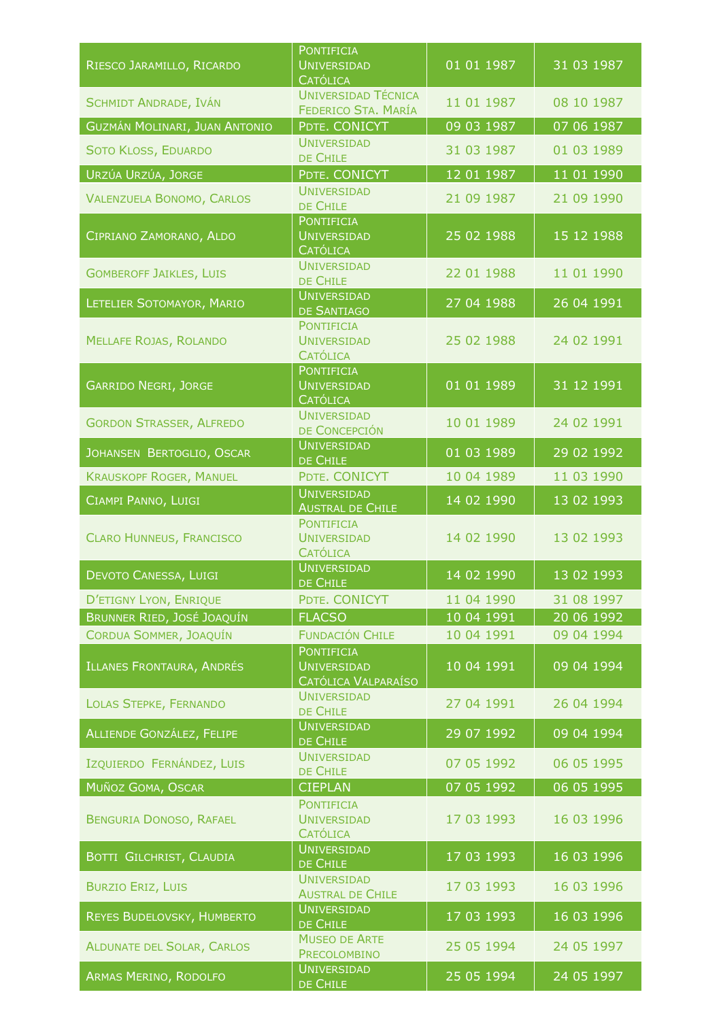| RIESCO JARAMILLO, RICARDO                           | <b>PONTIFICIA</b><br><b>UNIVERSIDAD</b><br><b>CATÓLICA</b>        | 01 01 1987               | 31 03 1987               |
|-----------------------------------------------------|-------------------------------------------------------------------|--------------------------|--------------------------|
| <b>SCHMIDT ANDRADE, IVÁN</b>                        | <b>UNIVERSIDAD TÉCNICA</b><br>FEDERICO STA. MARÍA                 | 11 01 1987               | 08 10 1987               |
| <b>GUZMÁN MOLINARI, JUAN ANTONIO</b>                | PDTE. CONICYT                                                     | 09 03 1987               | 07 06 1987               |
| SOTO KLOSS, EDUARDO                                 | <b>UNIVERSIDAD</b><br>DE CHILE                                    | 31 03 1987               | 01 03 1989               |
| URZÚA URZÚA, JORGE                                  | PDTE. CONICYT                                                     | 12 01 1987               | 11 01 1990               |
| <b>VALENZUELA BONOMO, CARLOS</b>                    | <b>UNIVERSIDAD</b><br>DE CHILE                                    | 21 09 1987               | 21 09 1990               |
| CIPRIANO ZAMORANO, ALDO                             | <b>PONTIFICIA</b><br><b>UNIVERSIDAD</b><br><b>CATÓLICA</b>        | 25 02 1988               | 15 12 1988               |
| <b>GOMBEROFF JAIKLES, LUIS</b>                      | <b>UNIVERSIDAD</b><br>DE CHILE                                    | 22 01 1988               | 11 01 1990               |
| LETELIER SOTOMAYOR, MARIO                           | <b>UNIVERSIDAD</b><br>DE SANTIAGO                                 | 27 04 1988               | 26 04 1991               |
| <b>MELLAFE ROJAS, ROLANDO</b>                       | <b>PONTIFICIA</b><br><b>UNIVERSIDAD</b><br><b>CATÓLICA</b>        | 25 02 1988               | 24 02 1991               |
| <b>GARRIDO NEGRI, JORGE</b>                         | <b>PONTIFICIA</b><br><b>UNIVERSIDAD</b><br><b>CATÓLICA</b>        | 01 01 1989               | 31 12 1991               |
| <b>GORDON STRASSER, ALFREDO</b>                     | <b>UNIVERSIDAD</b><br>DE CONCEPCIÓN                               | 10 01 1989               | 24 02 1991               |
| JOHANSEN BERTOGLIO, OSCAR                           | <b>UNIVERSIDAD</b><br>DE CHILE                                    | 01 03 1989               | 29 02 1992               |
| <b>KRAUSKOPF ROGER, MANUEL</b>                      | PDTE. CONICYT                                                     | 10 04 1989               | 11 03 1990               |
| CIAMPI PANNO, LUIGI                                 | <b>UNIVERSIDAD</b><br><b>AUSTRAL DE CHILE</b>                     | 14 02 1990               | 13 02 1993               |
| <b>CLARO HUNNEUS, FRANCISCO</b>                     | <b>PONTIFICIA</b><br><b>UNIVERSIDAD</b><br><b>CATÓLICA</b>        | 14 02 1990               | 13 02 1993               |
| DEVOTO CANESSA, LUIGI                               | <b>UNIVERSIDAD</b><br>DE CHILE                                    | 14 02 1990               | 13 02 1993               |
| D'ETIGNY LYON, ENRIQUE                              | PDTE. CONICYT                                                     | 11 04 1990               | 31 08 1997               |
| BRUNNER RIED, JOSÉ JOAQUÍN                          | <b>FLACSO</b>                                                     | 10 04 1991               | 20 06 1992               |
| CORDUA SOMMER, JOAQUÍN<br>ILLANES FRONTAURA, ANDRÉS | <b>FUNDACIÓN CHILE</b><br><b>PONTIFICIA</b><br><b>UNIVERSIDAD</b> | 10 04 1991<br>10 04 1991 | 09 04 1994<br>09 04 1994 |
|                                                     | CATÓLICA VALPARAÍSO                                               |                          |                          |
| <b>LOLAS STEPKE, FERNANDO</b>                       | <b>UNIVERSIDAD</b><br>DE CHILE                                    | 27 04 1991               | 26 04 1994               |
| ALLIENDE GONZÁLEZ, FELIPE                           | <b>UNIVERSIDAD</b><br>DE CHILE                                    | 29 07 1992               | 09 04 1994               |
| IZQUIERDO FERNÁNDEZ, LUIS                           | <b>UNIVERSIDAD</b><br>DE CHILE                                    | 07 05 1992               | 06 05 1995               |
| MUÑOZ GOMA, OSCAR                                   | <b>CIEPLAN</b><br><b>PONTIFICIA</b>                               | 07 05 1992               | 06 05 1995               |
| <b>BENGURIA DONOSO, RAFAEL</b>                      | <b>UNIVERSIDAD</b><br><b>CATÓLICA</b>                             | 17 03 1993               | 16 03 1996               |
| <b>BOTTI GILCHRIST, CLAUDIA</b>                     | <b>UNIVERSIDAD</b><br>DE CHILE                                    | 17 03 1993               | 16 03 1996               |
| <b>BURZIO ERIZ, LUIS</b>                            | <b>UNIVERSIDAD</b><br><b>AUSTRAL DE CHILE</b>                     | 17 03 1993               | 16 03 1996               |
| REYES BUDELOVSKY, HUMBERTO                          | <b>UNIVERSIDAD</b><br>DE CHILE                                    | 17 03 1993               | 16 03 1996               |
| <b>ALDUNATE DEL SOLAR, CARLOS</b>                   | <b>MUSEO DE ARTE</b><br>PRECOLOMBINO                              | 25 05 1994               | 24 05 1997               |
| <b>ARMAS MERINO, RODOLFO</b>                        | <b>UNIVERSIDAD</b><br>DE CHILE                                    | 25 05 1994               | 24 05 1997               |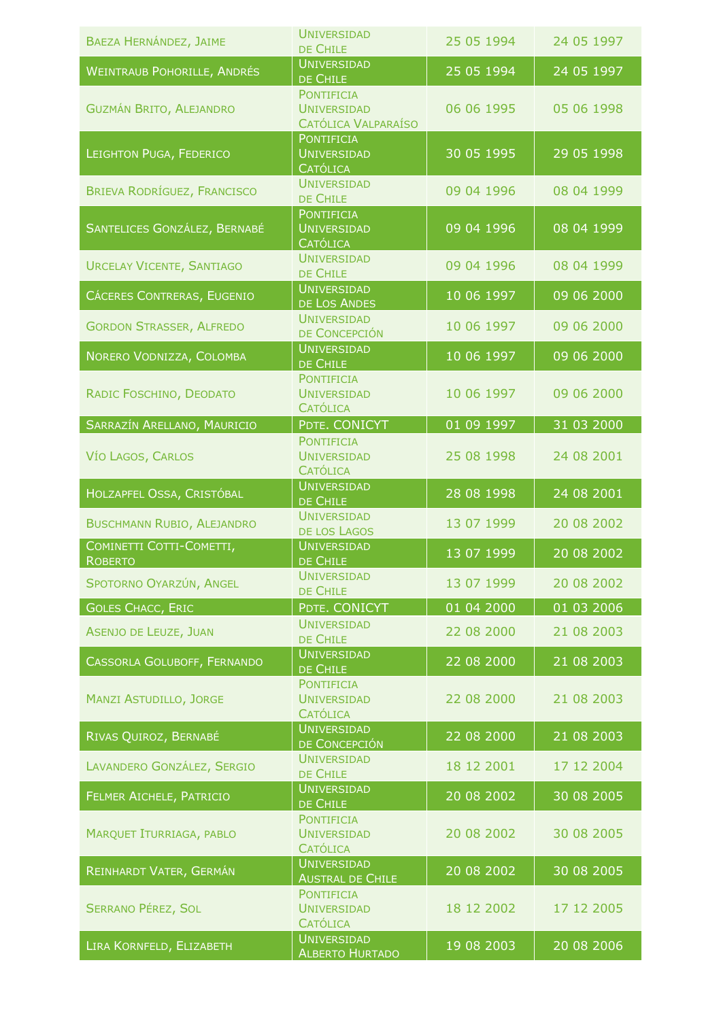| BAEZA HERNÁNDEZ, JAIME                     | <b>UNIVERSIDAD</b><br>DE CHILE                                 | 25 05 1994 | 24 05 1997 |
|--------------------------------------------|----------------------------------------------------------------|------------|------------|
| <b>WEINTRAUB POHORILLE, ANDRÉS</b>         | <b>UNIVERSIDAD</b><br>DE CHILE                                 | 25 05 1994 | 24 05 1997 |
| <b>GUZMÁN BRITO, ALEJANDRO</b>             | <b>PONTIFICIA</b><br><b>UNIVERSIDAD</b><br>CATÓLICA VALPARAÍSO | 06 06 1995 | 05 06 1998 |
| LEIGHTON PUGA, FEDERICO                    | <b>PONTIFICIA</b><br><b>UNIVERSIDAD</b><br><b>CATÓLICA</b>     | 30 05 1995 | 29 05 1998 |
| <b>BRIEVA RODRÍGUEZ, FRANCISCO</b>         | <b>UNIVERSIDAD</b><br>DE CHILE                                 | 09 04 1996 | 08 04 1999 |
| SANTELICES GONZÁLEZ, BERNABÉ               | <b>PONTIFICIA</b><br><b>UNIVERSIDAD</b><br><b>CATÓLICA</b>     | 09 04 1996 | 08 04 1999 |
| <b>URCELAY VICENTE, SANTIAGO</b>           | <b>UNIVERSIDAD</b><br>DE CHILE                                 | 09 04 1996 | 08 04 1999 |
| CÁCERES CONTRERAS, EUGENIO                 | <b>UNIVERSIDAD</b><br><b>DE LOS ANDES</b>                      | 10 06 1997 | 09 06 2000 |
| <b>GORDON STRASSER, ALFREDO</b>            | <b>UNIVERSIDAD</b><br>DE CONCEPCIÓN                            | 10 06 1997 | 09 06 2000 |
| NORERO VODNIZZA, COLOMBA                   | <b>UNIVERSIDAD</b><br>DE CHILE                                 | 10 06 1997 | 09 06 2000 |
| RADIC FOSCHINO, DEODATO                    | <b>PONTIFICIA</b><br><b>UNIVERSIDAD</b><br><b>CATÓLICA</b>     | 10 06 1997 | 09 06 2000 |
| SARRAZÍN ARELLANO, MAURICIO                | PDTE. CONICYT                                                  | 01 09 1997 | 31 03 2000 |
| VÍO LAGOS, CARLOS                          | <b>PONTIFICIA</b><br><b>UNIVERSIDAD</b><br><b>CATÓLICA</b>     | 25 08 1998 | 24 08 2001 |
| HOLZAPFEL OSSA, CRISTÓBAL                  | <b>UNIVERSIDAD</b><br>DE CHILE                                 | 28 08 1998 | 24 08 2001 |
| <b>BUSCHMANN RUBIO, ALEJANDRO</b>          | <b>UNIVERSIDAD</b><br>DE LOS LAGOS                             | 13 07 1999 | 20 08 2002 |
| COMINETTI COTTI-COMETTI,<br><b>ROBERTO</b> | <b>UNIVERSIDAD</b><br>DE CHILE                                 | 13 07 1999 | 20 08 2002 |
| SPOTORNO OYARZÚN, ANGEL                    | <b>UNIVERSIDAD</b><br>DE CHILE                                 | 13 07 1999 | 20 08 2002 |
| <b>GOLES CHACC, ERIC</b>                   | PDTE. CONICYT                                                  | 01 04 2000 | 01 03 2006 |
| <b>ASENJO DE LEUZE, JUAN</b>               | <b>UNIVERSIDAD</b><br>DE CHILE                                 | 22 08 2000 | 21 08 2003 |
| CASSORLA GOLUBOFF, FERNANDO                | <b>UNIVERSIDAD</b><br>DE CHILE                                 | 22 08 2000 | 21 08 2003 |
| <b>MANZI ASTUDILLO, JORGE</b>              | <b>PONTIFICIA</b><br><b>UNIVERSIDAD</b><br><b>CATÓLICA</b>     | 22 08 2000 | 21 08 2003 |
| RIVAS QUIROZ, BERNABÉ                      | <b>UNIVERSIDAD</b><br>DE CONCEPCIÓN                            | 22 08 2000 | 21 08 2003 |
| LAVANDERO GONZÁLEZ, SERGIO                 | <b>UNIVERSIDAD</b><br>DE CHILE                                 | 18 12 2001 | 17 12 2004 |
| FELMER AICHELE, PATRICIO                   | <b>UNIVERSIDAD</b><br>DE CHILE                                 | 20 08 2002 | 30 08 2005 |
| <b>MARQUET ITURRIAGA, PABLO</b>            | <b>PONTIFICIA</b><br><b>UNIVERSIDAD</b><br><b>CATÓLICA</b>     | 20 08 2002 | 30 08 2005 |
| REINHARDT VATER, GERMÁN                    | <b>UNIVERSIDAD</b><br><b>AUSTRAL DE CHILE</b>                  | 20 08 2002 | 30 08 2005 |
| <b>SERRANO PÉREZ, SOL</b>                  | <b>PONTIFICIA</b><br><b>UNIVERSIDAD</b><br><b>CATÓLICA</b>     | 18 12 2002 | 17 12 2005 |
| LIRA KORNFELD, ELIZABETH                   | <b>UNIVERSIDAD</b><br><b>ALBERTO HURTADO</b>                   | 19 08 2003 | 20 08 2006 |